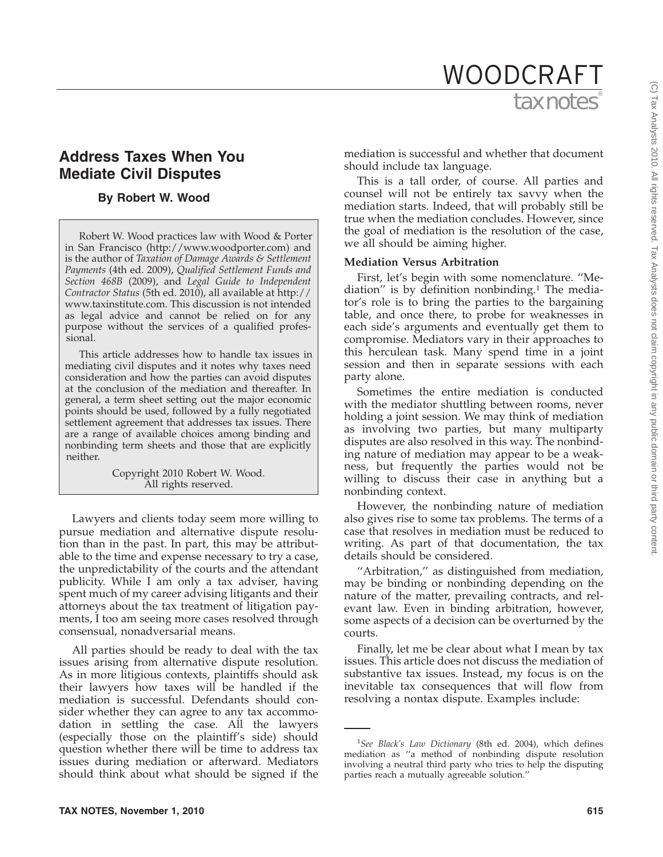# tax notes WOODCRAFT

# **Address Taxes When You Mediate Civil Disputes**

## **By Robert W. Wood**

Robert W. Wood practices law with Wood & Porter in San Francisco (http://www.woodporter.com) and is the author of *Taxation of Damage Awards & Settlement Payments* (4th ed. 2009), *Qualified Settlement Funds and Section 468B* (2009), and *Legal Guide to Independent Contractor Status* (5th ed. 2010), all available at http:// www.taxinstitute.com. This discussion is not intended as legal advice and cannot be relied on for any purpose without the services of a qualified professional.

This article addresses how to handle tax issues in mediating civil disputes and it notes why taxes need consideration and how the parties can avoid disputes at the conclusion of the mediation and thereafter. In general, a term sheet setting out the major economic points should be used, followed by a fully negotiated settlement agreement that addresses tax issues. There are a range of available choices among binding and nonbinding term sheets and those that are explicitly neither.

> Copyright 2010 Robert W. Wood. All rights reserved.

Lawyers and clients today seem more willing to pursue mediation and alternative dispute resolution than in the past. In part, this may be attributable to the time and expense necessary to try a case, the unpredictability of the courts and the attendant publicity. While I am only a tax adviser, having spent much of my career advising litigants and their attorneys about the tax treatment of litigation payments, I too am seeing more cases resolved through consensual, nonadversarial means.

All parties should be ready to deal with the tax issues arising from alternative dispute resolution. As in more litigious contexts, plaintiffs should ask their lawyers how taxes will be handled if the mediation is successful. Defendants should consider whether they can agree to any tax accommodation in settling the case. All the lawyers (especially those on the plaintiff's side) should question whether there will be time to address tax issues during mediation or afterward. Mediators should think about what should be signed if the

mediation is successful and whether that document should include tax language.

This is a tall order, of course. All parties and counsel will not be entirely tax savvy when the mediation starts. Indeed, that will probably still be true when the mediation concludes. However, since the goal of mediation is the resolution of the case, we all should be aiming higher.

#### **Mediation Versus Arbitration**

First, let's begin with some nomenclature. ''Mediation'' is by definition nonbinding.1 The mediator's role is to bring the parties to the bargaining table, and once there, to probe for weaknesses in each side's arguments and eventually get them to compromise. Mediators vary in their approaches to this herculean task. Many spend time in a joint session and then in separate sessions with each party alone.

Sometimes the entire mediation is conducted with the mediator shuttling between rooms, never holding a joint session. We may think of mediation as involving two parties, but many multiparty disputes are also resolved in this way. The nonbinding nature of mediation may appear to be a weakness, but frequently the parties would not be willing to discuss their case in anything but a nonbinding context.

However, the nonbinding nature of mediation also gives rise to some tax problems. The terms of a case that resolves in mediation must be reduced to writing. As part of that documentation, the tax details should be considered.

''Arbitration,'' as distinguished from mediation, may be binding or nonbinding depending on the nature of the matter, prevailing contracts, and relevant law. Even in binding arbitration, however, some aspects of a decision can be overturned by the courts.

Finally, let me be clear about what I mean by tax issues. This article does not discuss the mediation of substantive tax issues. Instead, my focus is on the inevitable tax consequences that will flow from resolving a nontax dispute. Examples include:

<sup>1</sup> *See Black's Law Dictionary* (8th ed. 2004), which defines mediation as ''a method of nonbinding dispute resolution involving a neutral third party who tries to help the disputing parties reach a mutually agreeable solution.''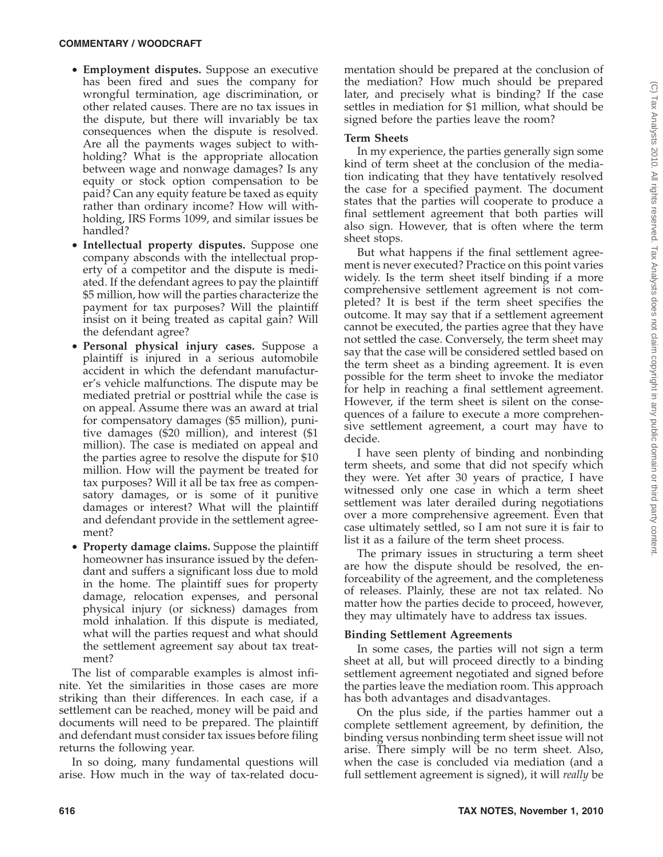- **Employment disputes.** Suppose an executive has been fired and sues the company for wrongful termination, age discrimination, or other related causes. There are no tax issues in the dispute, but there will invariably be tax consequences when the dispute is resolved. Are all the payments wages subject to withholding? What is the appropriate allocation between wage and nonwage damages? Is any equity or stock option compensation to be paid? Can any equity feature be taxed as equity rather than ordinary income? How will withholding, IRS Forms 1099, and similar issues be handled?
- **Intellectual property disputes.** Suppose one company absconds with the intellectual property of a competitor and the dispute is mediated. If the defendant agrees to pay the plaintiff \$5 million, how will the parties characterize the payment for tax purposes? Will the plaintiff insist on it being treated as capital gain? Will the defendant agree?
- **Personal physical injury cases.** Suppose a plaintiff is injured in a serious automobile accident in which the defendant manufacturer's vehicle malfunctions. The dispute may be mediated pretrial or posttrial while the case is on appeal. Assume there was an award at trial for compensatory damages (\$5 million), punitive damages (\$20 million), and interest (\$1 million). The case is mediated on appeal and the parties agree to resolve the dispute for \$10 million. How will the payment be treated for tax purposes? Will it all be tax free as compensatory damages, or is some of it punitive damages or interest? What will the plaintiff and defendant provide in the settlement agreement?
- **Property damage claims.** Suppose the plaintiff homeowner has insurance issued by the defendant and suffers a significant loss due to mold in the home. The plaintiff sues for property damage, relocation expenses, and personal physical injury (or sickness) damages from mold inhalation. If this dispute is mediated, what will the parties request and what should the settlement agreement say about tax treatment?

The list of comparable examples is almost infinite. Yet the similarities in those cases are more striking than their differences. In each case, if a settlement can be reached, money will be paid and documents will need to be prepared. The plaintiff and defendant must consider tax issues before filing returns the following year.

In so doing, many fundamental questions will arise. How much in the way of tax-related documentation should be prepared at the conclusion of the mediation? How much should be prepared later, and precisely what is binding? If the case settles in mediation for \$1 million, what should be signed before the parties leave the room?

#### **Term Sheets**

In my experience, the parties generally sign some kind of term sheet at the conclusion of the mediation indicating that they have tentatively resolved the case for a specified payment. The document states that the parties will cooperate to produce a final settlement agreement that both parties will also sign. However, that is often where the term sheet stops.

But what happens if the final settlement agreement is never executed? Practice on this point varies widely. Is the term sheet itself binding if a more comprehensive settlement agreement is not completed? It is best if the term sheet specifies the outcome. It may say that if a settlement agreement cannot be executed, the parties agree that they have not settled the case. Conversely, the term sheet may say that the case will be considered settled based on the term sheet as a binding agreement. It is even possible for the term sheet to invoke the mediator for help in reaching a final settlement agreement. However, if the term sheet is silent on the consequences of a failure to execute a more comprehensive settlement agreement, a court may have to decide.

I have seen plenty of binding and nonbinding term sheets, and some that did not specify which they were. Yet after 30 years of practice, I have witnessed only one case in which a term sheet settlement was later derailed during negotiations over a more comprehensive agreement. Even that case ultimately settled, so I am not sure it is fair to list it as a failure of the term sheet process.

The primary issues in structuring a term sheet are how the dispute should be resolved, the enforceability of the agreement, and the completeness of releases. Plainly, these are not tax related. No matter how the parties decide to proceed, however, they may ultimately have to address tax issues.

#### **Binding Settlement Agreements**

In some cases, the parties will not sign a term sheet at all, but will proceed directly to a binding settlement agreement negotiated and signed before the parties leave the mediation room. This approach has both advantages and disadvantages.

On the plus side, if the parties hammer out a complete settlement agreement, by definition, the binding versus nonbinding term sheet issue will not arise. There simply will be no term sheet. Also, when the case is concluded via mediation (and a full settlement agreement is signed), it will *really* be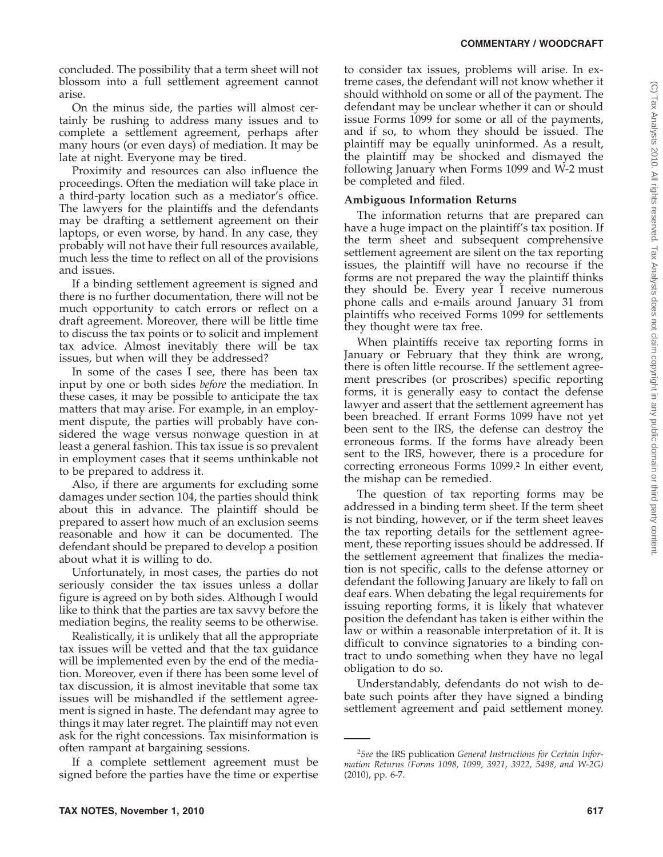concluded. The possibility that a term sheet will not blossom into a full settlement agreement cannot arise.

On the minus side, the parties will almost certainly be rushing to address many issues and to complete a settlement agreement, perhaps after many hours (or even days) of mediation. It may be late at night. Everyone may be tired.

Proximity and resources can also influence the proceedings. Often the mediation will take place in a third-party location such as a mediator's office. The lawyers for the plaintiffs and the defendants may be drafting a settlement agreement on their laptops, or even worse, by hand. In any case, they probably will not have their full resources available, much less the time to reflect on all of the provisions and issues.

If a binding settlement agreement is signed and there is no further documentation, there will not be much opportunity to catch errors or reflect on a draft agreement. Moreover, there will be little time to discuss the tax points or to solicit and implement tax advice. Almost inevitably there will be tax issues, but when will they be addressed?

In some of the cases I see, there has been tax input by one or both sides *before* the mediation. In these cases, it may be possible to anticipate the tax matters that may arise. For example, in an employment dispute, the parties will probably have considered the wage versus nonwage question in at least a general fashion. This tax issue is so prevalent in employment cases that it seems unthinkable not to be prepared to address it.

Also, if there are arguments for excluding some damages under section 104, the parties should think about this in advance. The plaintiff should be prepared to assert how much of an exclusion seems reasonable and how it can be documented. The defendant should be prepared to develop a position about what it is willing to do.

Unfortunately, in most cases, the parties do not seriously consider the tax issues unless a dollar figure is agreed on by both sides. Although I would like to think that the parties are tax savvy before the mediation begins, the reality seems to be otherwise.

Realistically, it is unlikely that all the appropriate tax issues will be vetted and that the tax guidance will be implemented even by the end of the mediation. Moreover, even if there has been some level of tax discussion, it is almost inevitable that some tax issues will be mishandled if the settlement agreement is signed in haste. The defendant may agree to things it may later regret. The plaintiff may not even ask for the right concessions. Tax misinformation is often rampant at bargaining sessions.

If a complete settlement agreement must be signed before the parties have the time or expertise to consider tax issues, problems will arise. In extreme cases, the defendant will not know whether it should withhold on some or all of the payment. The defendant may be unclear whether it can or should issue Forms 1099 for some or all of the payments, and if so, to whom they should be issued. The plaintiff may be equally uninformed. As a result, the plaintiff may be shocked and dismayed the following January when Forms 1099 and W-2 must be completed and filed.

# **Ambiguous Information Returns**

The information returns that are prepared can have a huge impact on the plaintiff's tax position. If the term sheet and subsequent comprehensive settlement agreement are silent on the tax reporting issues, the plaintiff will have no recourse if the forms are not prepared the way the plaintiff thinks they should be. Every year I receive numerous phone calls and e-mails around January 31 from plaintiffs who received Forms 1099 for settlements they thought were tax free.

When plaintiffs receive tax reporting forms in January or February that they think are wrong, there is often little recourse. If the settlement agreement prescribes (or proscribes) specific reporting forms, it is generally easy to contact the defense lawyer and assert that the settlement agreement has been breached. If errant Forms 1099 have not yet been sent to the IRS, the defense can destroy the erroneous forms. If the forms have already been sent to the IRS, however, there is a procedure for correcting erroneous Forms 1099.<sup>2</sup> In either event, the mishap can be remedied.

The question of tax reporting forms may be addressed in a binding term sheet. If the term sheet is not binding, however, or if the term sheet leaves the tax reporting details for the settlement agreement, these reporting issues should be addressed. If the settlement agreement that finalizes the mediation is not specific, calls to the defense attorney or defendant the following January are likely to fall on deaf ears. When debating the legal requirements for issuing reporting forms, it is likely that whatever position the defendant has taken is either within the law or within a reasonable interpretation of it. It is difficult to convince signatories to a binding contract to undo something when they have no legal obligation to do so.

Understandably, defendants do not wish to debate such points after they have signed a binding settlement agreement and paid settlement money.

<sup>2</sup> *See* the IRS publication *General Instructions for Certain Information Returns (Forms 1098, 1099, 3921, 3922, 5498, and W-2G)* (2010), pp. 6-7.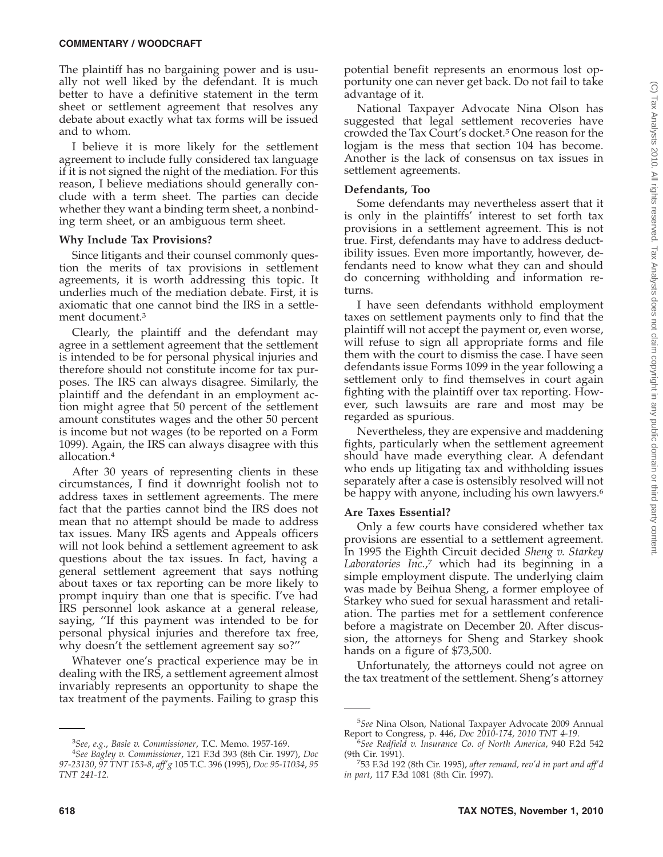#### **COMMENTARY / WOODCRAFT**

The plaintiff has no bargaining power and is usually not well liked by the defendant. It is much better to have a definitive statement in the term sheet or settlement agreement that resolves any debate about exactly what tax forms will be issued and to whom.

I believe it is more likely for the settlement agreement to include fully considered tax language if it is not signed the night of the mediation. For this reason, I believe mediations should generally conclude with a term sheet. The parties can decide whether they want a binding term sheet, a nonbinding term sheet, or an ambiguous term sheet.

#### **Why Include Tax Provisions?**

Since litigants and their counsel commonly question the merits of tax provisions in settlement agreements, it is worth addressing this topic. It underlies much of the mediation debate. First, it is axiomatic that one cannot bind the IRS in a settlement document.3

Clearly, the plaintiff and the defendant may agree in a settlement agreement that the settlement is intended to be for personal physical injuries and therefore should not constitute income for tax purposes. The IRS can always disagree. Similarly, the plaintiff and the defendant in an employment action might agree that 50 percent of the settlement amount constitutes wages and the other 50 percent is income but not wages (to be reported on a Form 1099). Again, the IRS can always disagree with this allocation.4

After 30 years of representing clients in these circumstances, I find it downright foolish not to address taxes in settlement agreements. The mere fact that the parties cannot bind the IRS does not mean that no attempt should be made to address tax issues. Many IRS agents and Appeals officers will not look behind a settlement agreement to ask questions about the tax issues. In fact, having a general settlement agreement that says nothing about taxes or tax reporting can be more likely to prompt inquiry than one that is specific. I've had IRS personnel look askance at a general release, saying, ''If this payment was intended to be for personal physical injuries and therefore tax free, why doesn't the settlement agreement say so?''

Whatever one's practical experience may be in dealing with the IRS, a settlement agreement almost invariably represents an opportunity to shape the tax treatment of the payments. Failing to grasp this

potential benefit represents an enormous lost opportunity one can never get back. Do not fail to take advantage of it.

National Taxpayer Advocate Nina Olson has suggested that legal settlement recoveries have crowded the Tax Court's docket.5 One reason for the logjam is the mess that section 104 has become. Another is the lack of consensus on tax issues in settlement agreements.

#### **Defendants, Too**

Some defendants may nevertheless assert that it is only in the plaintiffs' interest to set forth tax provisions in a settlement agreement. This is not true. First, defendants may have to address deductibility issues. Even more importantly, however, defendants need to know what they can and should do concerning withholding and information returns.

I have seen defendants withhold employment taxes on settlement payments only to find that the plaintiff will not accept the payment or, even worse, will refuse to sign all appropriate forms and file them with the court to dismiss the case. I have seen defendants issue Forms 1099 in the year following a settlement only to find themselves in court again fighting with the plaintiff over tax reporting. However, such lawsuits are rare and most may be regarded as spurious.

Nevertheless, they are expensive and maddening fights, particularly when the settlement agreement should have made everything clear. A defendant who ends up litigating tax and withholding issues separately after a case is ostensibly resolved will not be happy with anyone, including his own lawyers.<sup>6</sup>

## **Are Taxes Essential?**

Only a few courts have considered whether tax provisions are essential to a settlement agreement. In 1995 the Eighth Circuit decided *Sheng v. Starkey Laboratories Inc.*, <sup>7</sup> which had its beginning in a simple employment dispute. The underlying claim was made by Beihua Sheng, a former employee of Starkey who sued for sexual harassment and retaliation. The parties met for a settlement conference before a magistrate on December 20. After discussion, the attorneys for Sheng and Starkey shook hands on a figure of \$73,500.

Unfortunately, the attorneys could not agree on the tax treatment of the settlement. Sheng's attorney

<sup>3</sup> *See*, *e.g.*, *Basle v. Commissioner*, T.C. Memo. 1957-169. <sup>4</sup>

*See Bagley v. Commissioner*, 121 F.3d 393 (8th Cir. 1997), *Doc 97-23130*, *97 TNT 153-8*, *aff'g* 105 T.C. 396 (1995), *Doc 95-11034*, *95 TNT 241-12*.

<sup>5</sup> *See* Nina Olson, National Taxpayer Advocate 2009 Annual Report to Congress, p. 446, *Doc 2010-174*, *2010 TNT 4-19*. <sup>6</sup>

*See Redfield v. Insurance Co. of North America*, 940 F.2d 542 (9th Cir. 1991).

<sup>53</sup> F.3d 192 (8th Cir. 1995), *after remand, rev'd in part and aff'd in part*, 117 F.3d 1081 (8th Cir. 1997).